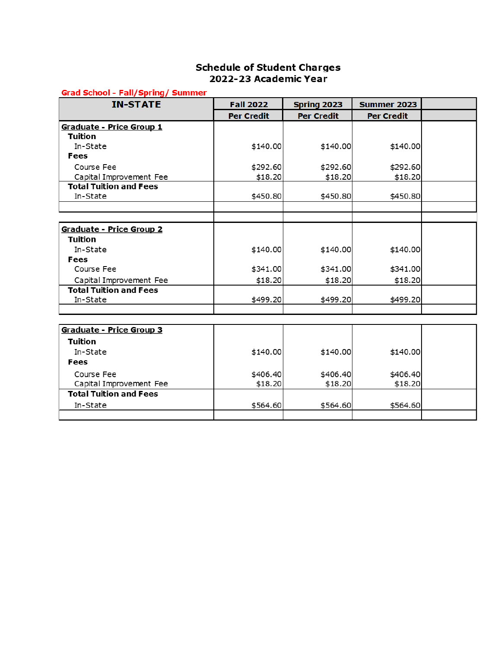## **Schedule of Student Charges** 2022-23 Academic Year

#### **Grad School - Fall/Spring/ Summer**

| <b>IN-STATE</b>               | <b>Fall 2022</b>  | Spring 2023       | <b>Summer 2023</b> |  |
|-------------------------------|-------------------|-------------------|--------------------|--|
|                               | <b>Per Credit</b> | <b>Per Credit</b> | <b>Per Credit</b>  |  |
| Graduate - Price Group 1      |                   |                   |                    |  |
| Tuition                       |                   |                   |                    |  |
| In-State                      | \$140.00          | \$140.00          | \$140.00           |  |
| Fees                          |                   |                   |                    |  |
| Course Fee                    | \$292.60          | \$292.60          | \$292.60           |  |
| Capital Improvement Fee       | \$18.20           | \$18.20           | \$18.20            |  |
| <b>Total Tuition and Fees</b> |                   |                   |                    |  |
| In-State                      | \$450.80          | \$450.80          | \$450.80           |  |
|                               |                   |                   |                    |  |
| Graduate - Price Group 2      |                   |                   |                    |  |
| <b>Tuition</b>                |                   |                   |                    |  |
| In-State                      | \$140.00          | \$140.00          | \$140.00           |  |
| Fees                          |                   |                   |                    |  |
| Course Fee                    | \$341.00          | \$341.00          | \$341.00           |  |
| Capital Improvement Fee       | \$18.20           | \$18.20           | \$18.20            |  |
| <b>Total Tuition and Fees</b> |                   |                   |                    |  |
| In-State                      | \$499.20          | \$499.20          | \$499.20           |  |
|                               |                   |                   |                    |  |
|                               |                   |                   |                    |  |
| Graduate - Price Group 3      |                   |                   |                    |  |
| <b>Tuition</b>                |                   |                   |                    |  |
| In-State                      | \$140.00          | \$140.00          | \$140.00           |  |
| Fees                          |                   |                   |                    |  |
| Course Fee                    | \$406.40          | \$406.40          | \$406.40           |  |
| Capital Improvement Fee       | \$18.20           | \$18.20           | \$18.20            |  |
| <b>Total Tuition and Fees</b> |                   |                   |                    |  |
| In-State                      | \$564.60          | \$564.60          | \$564.60           |  |
|                               |                   |                   |                    |  |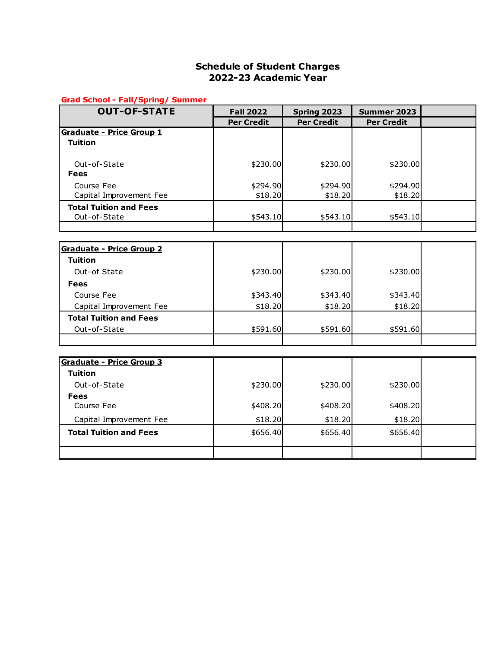### **Schedule of Student Charges 2022-23 Academic Year**

#### **Grad School - Fall/Spring/ Summer**

| <b>OUT-OF-STATE</b>             | <b>Fall 2022</b>  | Spring 2023       | Summer 2023       |  |
|---------------------------------|-------------------|-------------------|-------------------|--|
|                                 | <b>Per Credit</b> | <b>Per Credit</b> | <b>Per Credit</b> |  |
| Graduate - Price Group 1        |                   |                   |                   |  |
| <b>Tuition</b>                  |                   |                   |                   |  |
|                                 |                   |                   |                   |  |
| Out-of-State                    | \$230.00          | \$230.00          | \$230.00          |  |
| <b>Fees</b>                     |                   |                   |                   |  |
| Course Fee                      | \$294.90          | \$294.90          | \$294.90          |  |
| Capital Improvement Fee         | \$18.20           | \$18.20           | \$18.20           |  |
| <b>Total Tuition and Fees</b>   |                   |                   |                   |  |
| Out-of-State                    | \$543.10          | \$543.10          | \$543.10          |  |
|                                 |                   |                   |                   |  |
| <b>Graduate - Price Group 2</b> |                   |                   |                   |  |
| <b>Tuition</b>                  |                   |                   |                   |  |
| Out-of State                    | \$230.00          | \$230.00          | \$230.00          |  |
| <b>Fees</b>                     |                   |                   |                   |  |
| Course Fee                      | \$343.40          | \$343.40          | \$343.40          |  |
| Capital Improvement Fee         | \$18.20           | \$18.20           | \$18.20           |  |
| <b>Total Tuition and Fees</b>   |                   |                   |                   |  |
| Out-of-State                    | \$591.60          | \$591.60          | \$591.60          |  |
|                                 |                   |                   |                   |  |
|                                 |                   |                   |                   |  |
| <b>Graduate - Price Group 3</b> |                   |                   |                   |  |
| <b>Tuition</b>                  |                   |                   |                   |  |
| Out-of-State                    | \$230.00          | \$230.00          | \$230.00          |  |
| <b>Fees</b>                     |                   |                   |                   |  |
| Course Fee                      | \$408.20          | \$408.20          | \$408.20          |  |
| Capital Improvement Fee         | \$18.20           | \$18.20           | \$18.20           |  |
| <b>Total Tuition and Fees</b>   | \$656.40          | \$656.40          | \$656.40          |  |
|                                 |                   |                   |                   |  |
|                                 |                   |                   |                   |  |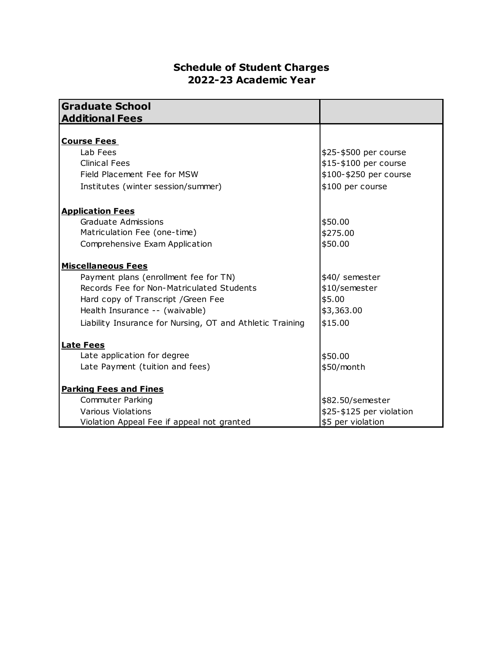# **Schedule of Student Charges 2022-23 Academic Year**

| <b>Graduate School</b>                                    |                          |  |
|-----------------------------------------------------------|--------------------------|--|
| <b>Additional Fees</b>                                    |                          |  |
|                                                           |                          |  |
| <b>Course Fees</b>                                        |                          |  |
| Lab Fees                                                  | \$25-\$500 per course    |  |
| <b>Clinical Fees</b>                                      | \$15-\$100 per course    |  |
| Field Placement Fee for MSW                               | \$100-\$250 per course   |  |
| Institutes (winter session/summer)                        | \$100 per course         |  |
| <b>Application Fees</b>                                   |                          |  |
| Graduate Admissions                                       | \$50.00                  |  |
| Matriculation Fee (one-time)                              | \$275.00                 |  |
| Comprehensive Exam Application                            | \$50.00                  |  |
| <b>Miscellaneous Fees</b>                                 |                          |  |
| Payment plans (enrollment fee for TN)                     | \$40/ semester           |  |
| Records Fee for Non-Matriculated Students                 | \$10/semester            |  |
| Hard copy of Transcript / Green Fee                       | \$5.00                   |  |
| Health Insurance -- (waivable)                            | \$3,363.00               |  |
| Liability Insurance for Nursing, OT and Athletic Training | \$15.00                  |  |
| <b>Late Fees</b>                                          |                          |  |
| Late application for degree                               | \$50.00                  |  |
| Late Payment (tuition and fees)                           | \$50/month               |  |
| <b>Parking Fees and Fines</b>                             |                          |  |
| <b>Commuter Parking</b>                                   | \$82.50/semester         |  |
| Various Violations                                        | \$25-\$125 per violation |  |
| Violation Appeal Fee if appeal not granted                | \$5 per violation        |  |